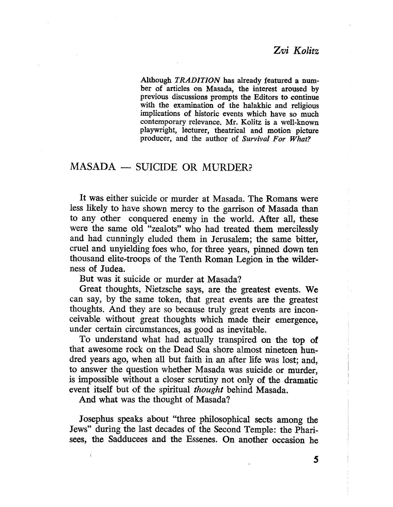Although TRADITION has already featured a number of articles on Masada, the interest aroused by previous discussions prompts the Editors to continue with the examination of the halakhic and religious implications of historic events which have so much contemporary relevance. Mr. Kolitz is a well-known playwright, lecturer, theatrical and motion picture producer, and the author of Survival For What?

## MASADA - SUICIDE OR MURDER?

It was either suicide or murder at Masada. The Romans were less likely to have shown mercy to the garison of Masada than to any other conquered enemy in the world. After all, these were the same old "zealots" who had treated them mercilessly and had cunningly eluded them in Jerusalem; the same bitter, cruel and unyielding foes who, for three years, pinned down ten thousand elite-troops of the Tenth Roman Legion in the widerness of Judea.

But was it suicide or murder at Masada?

Great thoughts, Nietzsche says, are the greatest events. We can say, by the same token, that great events are the greatest thoughts. And they are so because truly great events are inconceivable without great thoughts which made their emergence, under certain circumstances, as good as inevitable.

To understand what had actually transpired on the top of that awesome rock on the Dead Sea shore almost nineteen hundred years ago, when all but faith in an after life was lost; and, to answer the question whether Masada was suicide or murder, is impossible without a closer scrutiny not only of the dramatic event itself but of the spiritual *thought* behind Masada.

And what was the thought of Masada?

Josephus speaks about "three phiosophical sects among the Jews" during the last decades of the Second Temple: the Pharisees, the Sadducees and the Essenes. On another occasion he

5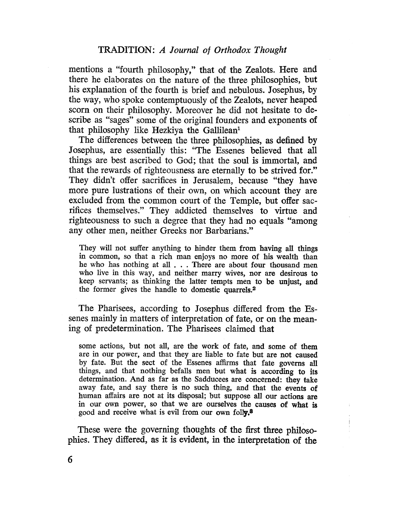mentions a "fourth philosophy," that of the Zealots. Here and there he elaborates on the nature of the three philosophies, but his explanation of the fourth is brief and nebulous. Josephus, by the way, who spoke contemptuously of the Zealots, never heaped scorn on their philosophy. Moreover he did not hesitate to describe as "sages" some of the original founders and exponents of that philosophy like Hezkiya the Gallilean<sup>1</sup>

The differences between the three philosophies, as defined by Josephus, are essentially this: "The Essenes believed that all things are best ascribed to God; that the soul is immortal, and that the rewards of righteousness are eternally to be strived for." They didn't offer sacrifices in Jerusalem, because "they have more pure lustrations of their own, on which account they are excluded from the common court of the Temple, but offer sacrifices themselves." They addicted themselves to virtue and righteousness to such a degree that they had no equals "among any other men, neither Greeks nor Barbarians."

They will not suffer anything to hinder them from having all things in common, so that a rich man enjoys no more of his wealth than he who has nothing at all . . . There are about four thousand men who live in this way, and neither marry wives, nor are desirous to keep servants; as thinking the latter tempts men to be unjust, and the former gives the handle to domestic quarrels.2

The Pharisees, according to Josephus differed from the Essenes mainly in matters of interpretation of fate, or on the meaning of predetermination. The Pharisees claimed that

some actions, but not all, are the work of fate, and some of them are in our power, and that they are liable to fate but are not caused by fate. But the sect of tbe Essenes affrms that fate governs all things, and that nothing befalls men but what is according to its determination. And as far as the Sadducees are concerned: they take away fate, and say there is no such thing, and that the events of human affairs are not at its disposal; but suppose all our actions are in our own power, so that we are ourselves the causes of what is good and receive what is evil from our own folly,8

These were the governing thoughts of the first three philosophies. They differed, as it is evident, in the interpretation of the

6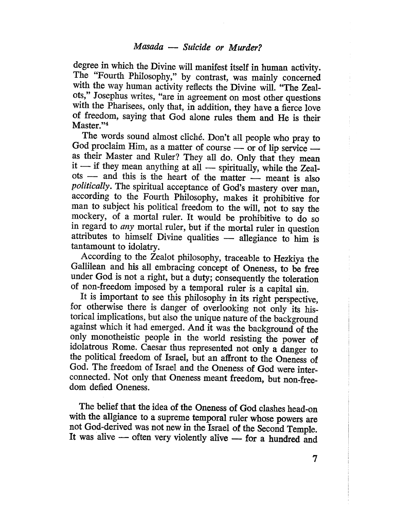degree in which the Divine will manifest itself in human activity. The "Fourth Philosophy," by contrast, was mainly concerned with the way human activity reflects the Divine wil. "The Zealots," Josephus writes, "are in agreement on most other questions with the Pharisees, only that, in addition, they have a fierce love of freedom, saying that God alone rules them and He is their Master."4

The words sound almost cliché. Don't all people who pray to God proclaim Him, as a matter of course - or of lip service as their Master and Ruler? They all do. Only that they mean it  $-$  if they mean anything at all  $-$  spiritually, while the Zeal $ots$  - and this is the heart of the matter - meant is also politically. The spiritual acceptance of God's mastery over man, according to the Fourth Philosophy, makes it prohibitive for man to subject his political freedom to the wil, not to say the mockery, of a mortal ruler. It would be prohibitive to do so in regard to any mortal ruler, but if the mortal ruler in question attributes to himself Divine qualities  $-$  allegiance to him is tantamount to idolatry.

According to the Zealot philosophy, traceable to Hezkiya the Gallilean and his all embracing concept of Oneness, to be free under God is not a right, but a duty; consequently the toleration of non-freedom imposed by a temporal ruler is a capital sin.

It is important to see this philosophy in its right perspective, for otherwise there is danger of overlooking not only its historical implications, but also the unique nature of the background against which it had emerged. And it was the background of the only monotheistic people in the world resisting the power of idolatrous Rome. Caesar thus represented not only a danger to the political freedom of Israel, but an affront to the Oneness of God. The freedom of Israel and the Oneness of God were interconnected. Not only that Oneness meant freedom, but non-freedom defied Oneness.

The belief that the idea of the Oneness of God clashes head-on with the allgiance to a supreme temporal ruler whose powers are not God-derived was not new in the Israel of the Second Temple. It was alive  $-$  often very violently alive  $-$  for a hundred and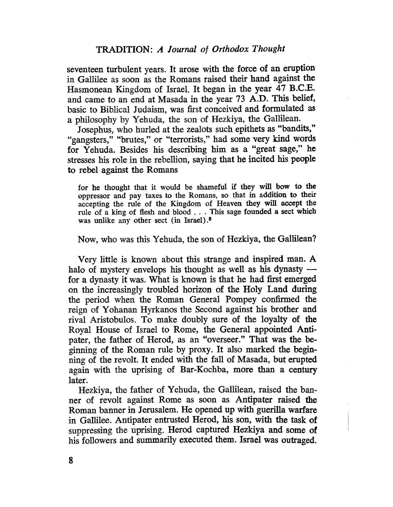## TRADITION: A Journal of Orthodox Thought

seventeen turbulent years. It arose with the force of an eruption in Gallilee as soon as the Romans raised their hand against the Hasmonean Kingdom of Israel. It began in the year 47 B.C.E. and came to an end at Masada in the year 73 A.D. This belief, basic to Biblical Judaism, was fist conceived and formulated as a philosophy by Yehuda, the son of Hezkiya, the Galllean.

Josephus, who hurled at the zealots such epithets as "bandits," "gangsters," "brutes," or "terrorists," had some very kind words for Yehuda. Besides his describing him as a "great sage," he stresses his role in the rebellon, saying that he incited his people to rebel agaist the Romans

for he thought that it would be shameful if they will bow to the oppressor and pay taxes to the Romans, so that in addition to their accepting the rule of the Kingdom of Heaven they wil accept the rule of a king of flesh and blood . . . This sage founded a sect which was unlike any other sect (in Israel).<sup>5</sup>

Now, who was this Yehuda, the son of Hezkiya, the Galllean?

Very little is known about this strange and inspired man. A halo of mystery envelops his thought as well as his dynasty  $-\frac{1}{2}$ for a dynasty it was. What is known is that he had fist emerged on the increasingly troubled horizon of the Holy Land during the period when the Roman General Pompey confirmed the reign of Yohanan Hyrkanos the Second against his brother and rival Aristobulos. To make doubly sure of the loyalty of the Royal House of Israel to Rome, the General appointed Antipater, the father of Herod, as an "overseer." That was the beginning of the Roman rule by proxy. It also marked the beginning of the revolt. It ended with the fall of Masada, but erupted again with the uprising of Bar-Kochba, more than a centur later.

Hezkiya, the father of Yehuda, the Galliean, raised the banner of revolt against Rome as soon as Antipater raised the Roman banner in Jerusalem. He opened up with guerilla warfare in Galllee. Antipater entrusted Herod, his son, with the task of suppressing the uprising. Herod captured Hezkiya and some of his followers and summarily executed them. Israel was outraged.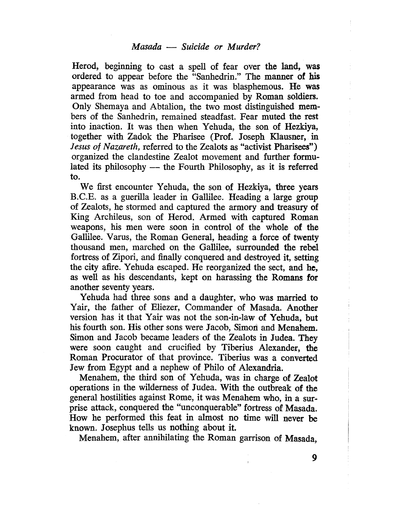Herod, beginning to cast a spell of fear over the land, was ordered to appear before the "Sanhedrin." The manner of his appearance was as ominous as it was blasphemous. He was armed from head to toe and accompanied by Roman soldiers. Only Shemaya and Abtalion, the two most distiguished members of the Sanhedrin, remained steadfast. Fear muted the rest into inaction. It was then when Yehuda, the son of Hezkiva. together with Zadok the Pharisee (Prof. Joseph Klausner, in Jesus of Nazareth, referred to the Zealots as "activist Pharisees") organized the clandestine Zealot movement and further formulated its philosophy -- the Fourth Philosophy, as it is referred to.

We fist encounter Yehuda, the son of Hezkiya, thee years B.C.E. as a guerilla leader in Gallilee. Heading a large group of Zealots, he stormed and captured the armory and treasury of King Archileus, son of Herod. Armed with captured Roman weapons, his men were soon in control of the whole of the Gallilee. Varus, the Roman General, heading a force of twenty thousand men, marched on the Gallilee, surrounded the rebel fortress of Zipori, and finally conquered and destroyed it, settig the city afie. Yehuda escaped. He reorganized the sect, and he, as well as his descendants, kept on harassing the Romans for another seventy years.

Yehuda had three sons and a daughter, who was married to Yair, the father of Eliezer, Commander of Masada. Another version has it that Yair was not the son-in-law of Yehuda, but his fourth son. His other sons were Jacob, Simon and Menahem. Simon and Jacob became leaders of the Zealots in Judea. They were soon caught and crucified by Tiberius Alexander, the Roman Procurator of that province. Tiberius was a converted Jew from Egypt and a nephew of Philo of Alexandria.

Menahem, the thid son of Yehuda, was in charge of Zealot operations in the wilderness of Judea. With the outbreak of the general hostilities against Rome, it was Menahem who, in a surprise attack, conquered the "unconquerable" fortress of Masada. How he performed this feat in almost no time will never be known. Josephus tells us nothing about it.

Menahem, after annihilating the Roman garrison of Masada,

9

ŧ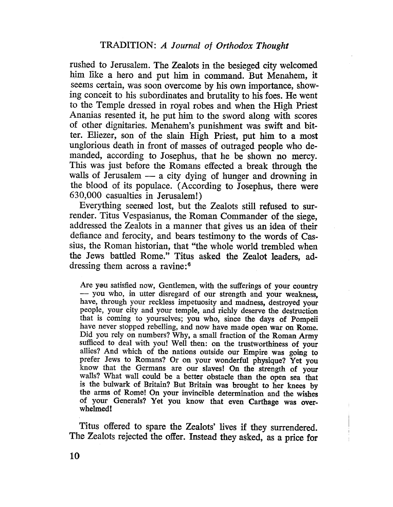rushed to Jerusalem. The Zealots in the besieged city welcomed him like a hero and put him in command. But Menahem, it seems certain, was soon overcome by his own importance, showing conceit to his subordinates and brutality to his foes. He went to the Temple dressed in royal robes and when the High Priest Ananias resented it, he put him to the sword along with scores of other dignitaries. Menahem's punishment was swift and bitter. Eliezer, son of the slain High Priest, put him to a most unglorious death in front of masses of outraged people who demanded, according to Josephus, that he be shown no mercy. This was just before the Romans effected a break through the walls of Jerusalem  $-$  a city dying of hunger and drowning in the blood of its populace. (According to Josephus, there were 630,000 casualties in Jerusalem!)

Everything seemed lost, but the Zealots stil refused to surrender. Titus Vespasianus, the Roman Commander of the siege, addressed the Zealots in a manner that gives us an idea of their defiance and ferocity, and bears testimony to the words of Cassius, the Roman historian, that "the whole world trembled when the Jews battled Rome." Titus asked the Zealot leaders, addressing them across a ravine:<sup>6</sup>

Are you satisfied now, Gentlemen, with the sufferings of your country - you who, in utter disregard of our strength and your weakness, have, through your reckless impetuosity and madness, destroyed your people, your city and your temple, and richly deserve the destruction that is coming to yourselves; you who, since the days of Pompeii have never stopped rebelling, and now have made open war on Rome. Did you rely on numbers? Why, a small fraction of the Roman Army sufficed to deal with you! Well then: on the trustworthiness of your allies? And which of the nations outside our Empire was going to prefer Jews to Romans? Or on your wonderful physique? Yet you know that the Germans are our slaves! On the strength of your walls? What wall could be a better obstacle than the open sea that is the bulwark of Britain? But Britain was brought to her knees by the arms of Rome! On your invincible determination and the wishes of your Generals? Yet you know that even Carthage was overwhelmed!

Titus offered to spare the Zealots' lives if they surrendered. The Zealots rejected the offer. Instead they asked, as a price for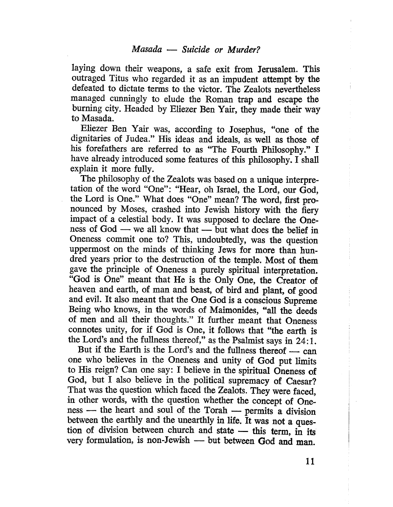laying down their weapons, a safe exit from Jerusalem. This outraged Titus who regarded it as an impudent attempt by the defeated to dictate terms to the victor. The Zealots nevertheless managed cunningly to elude the Roman trap and escape the burning city. Headed by Eliezer Ben Yair, they made their way to Masada.

Eliezer Ben Yair was, according to Josephus, "one of the dignitaries of Judea." His ideas and ideals, as well as those of his forefathers are referred to as "The Fourth Philosophy." I have already introduced some features of this philosophy. I shal explain it more fully.

The philosophy of the Zealots was based on a unique interpretation of the word "One": "Hear, oh Israel, the Lord, our God, the Lord is One." What does "One" mean? The word, first pronounced by Moses, crashed into Jewish history with the fiery impact of a celestial body. It was supposed to declare the Oneness of  $God$  — we all know that — but what does the belief in Oneness commit one to? This, undoubtedly, was the question uppermost on the minds of thinking Jews for more than hundred years prior to the destruction of the temple. Most of them gave the principle of Oneness a purely spiritual interpretation. "God is One" meant that He is the Only One, the Creator of heaven and earth, of man and beast, of bird and plant, of good and eviL. It also meant that the One God is a conscious Supreme Being who knows, in the words of Maimonides, "all the deeds of men and all their thoughts." It further meant that Oneness connotes unity, for if God is One, it follows that "the earth is the Lord's and the fullness thereof," as the Psalmist says in 24:1.

But if the Earth is the Lord's and the fullness thereof  $\frac{ }{ }$  can one who believes in the Oneness and unity of God put limits to His reign? Can one say: I believe in the spiritual Oneness of God, but I also believe in the political supremacy of Caesar? That was the question which faced the Zealots. They were faced, in other words, with the question whether the concept of Oneness - the heart and soul of the Torah - permits a division between the earthly and the unearthly in life. It was not a question of division between church and state  $-$  this term, in its very formulation, is non-Jewish  $-$  but between God and man.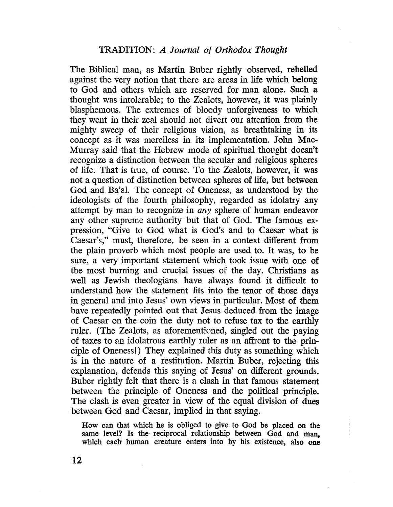The Biblical man, as Martin Buber rightly observed, rebelled against the very notion that there are areas in life which belong to God and others which are reserved for man alone. Such a thought was intolerable; to the Zealots, however, it was plainly blasphemous. The extremes of bloody unforgiveness to which they went in their zeal should not divert our attention from the mighty sweep of their religious vision, as breathtaking in its concept as it was merciless in its implementation. John Mac-Murray said that the Hebrew mode of spiritual thought doesn't recognize a distinction between the secular and religious spheres of life. That is true, of course. To the Zealots, however, it was not a question of distinction between spheres of life, but between God and Ba'al. The concept of Oneness, as understood by the ideologists of the fourth philosophy, regarded as idolatry any attempt by man to recognize in any sphere of human endeavor any other supreme authority but that of God. The famous expression, "Give to God what is God's and to Caesar what is Caesar's," must, therefore, be seen in a context different from the plain proverb which most people are used to. It was, to be sure, a very important statement which took issue with one of the most burning and crucial issues of the day. Christians as well as Jewish theologians have always found it difficult to understand how the statement fits into the tenor of those days in general and into Jesus' own views in particular. Most of them have repeatedly pointed out that Jesus deduced from the image of Caesar on the coin the duty not to refuse tax to the earthly ruler. (The Zealots, as aforementioned, singled out the paying of taxes to an idolatrous earthly ruler as an afront to the principle of Oneness!) They explained this duty as something which is in the nature of a restitution. Martin Buber, rejecting this explanation, defends this saying of Jesus' on different grounds. Buber rightly felt that there is a clash in that famous statement between the principle of Oneness and the political principle. The clash is even greater in view of the equal division of dues between God and Caesar, implied in that sayig.

How can that which he is obliged to give to God be placed on the same level? Is the reciprocal relationship between God and man, which each human creature enters into by his existence, also one

12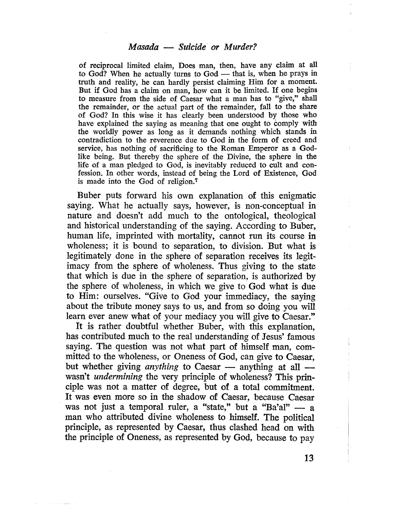## Masada — Suicide or Murder?

of reciprocal limited claim, Does man, then, have any claim at all to God? When he actually turns to  $God$  — that is, when he prays in truth and reality, he can hardly persist claiming Him for a moment. But if God has a claim on man, how can it be limited. If one begins to measure from the side of Caesar what a man has to "give," shall the remainder, or the actual part of the remainder, fall to the share of God? In this wise it has clearly been understood by those who have explained the saying as meaning that one ought to comply with the worldly power as long as it demands nothing which stands in contradiction to the reverence due to God in the form of creed and service, has nothing of sacrificing to the Roman Emperor as a Godlike being. But thereby the sphere of the Divine, the sphere in the life of a man pledged to God, is inevitably reduced to cult and confession. In other words, instead of being the Lord of Existence, God is made into the God of religion.7

BUber puts forward his own explanation of this enigmatic saying. What he actually says, however, is non-conceptual in nature and doesn't add much to the ontological, theological and historical understanding of the saying. According to Buber, human life, imprinted with mortality, cannot run its course in wholeness; it is bound to separation, to division. But what is legitimately done in the sphere of separation receives its legitimacy from the sphere of wholeness. Thus giving to the state that which is due in the sphere of separation, is authorized by the sphere of wholeness, in which we give to God what is due to Him: ourselves. "Give to God your immediacy, the saying about the tribute money says to us, and from so doing you wil learn ever anew what of your mediacy you will give to Caesar."

It is rather doubtful whether Buber, with this explanation, has contributed much to the real understanding of Jesus' famous saying. The question was not what part of himself man, committed to the wholeness, or Oneness of God, can give to Caesar, but whether giving *anything* to Caesar  $-$  anything at all  $$ wasn't *undermining* the very principle of wholeness? This principle was not a matter of degree, but of a total commitment. It was even more so in the shadow of Caesar, because Caesar was not just a temporal ruler, a "state," but a "Ba'al" - a man who attributed divine wholeness to himself. The political principle, as represented by Caesar, thus clashed head on with the principle of Oneness, as represented by God, because to pay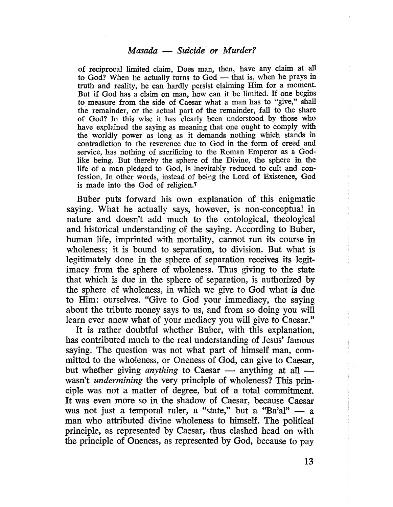## Masada — Suicide or Murder?

of reciprocal limited claim, Does man, then, have any claim at all to God? When he actually turns to God — that is, when he prays in truth and reality, he can hardly persist claiming Him for a moment. But if God has a claim on man, how can it be limited. If one begins to measure from the side of Caesar what a man has to "give," shall the remainder, or the actual part of the remainder, fall to the share of God? In this wise it has clearly been understood by those who have explained the saying as meaning that one ought to comply with the worldly power as long as it demands nothing which stands in contradiction to the reverence due to God in the form of creed and service, has nothing of sacrificing to the Roman Emperor as a Godlike being. But thereby the sphere of the Divine, the sphere in the life of a man pledged to God, is inevitably reduced to cult and confession. In other words, instead of being the Lord of Existence, God is made into the God of religion.7

Buber puts forward his own explanation of this enigmatic saying. What he actually says, however, is non-conceptual in nature and doesn't add much to the ontological, theological and historical understanding of the saying. According to Buber, human life, imprinted with mortality, cannot run its course in wholeness; it is bound to separation, to division. But what is legitimately done in the sphere of separation receives its legitimacy from the sphere of wholeness. Thus giving to the state that which is due in the sphere of separation, is authorized by the sphere of wholeness, in which we give to God what is due to Him: ourselves. "Give to God your immediacy, the saying about the tribute money says to us, and from so doing you wil learn ever anew what of your mediacy you will give to Caesar."

It is rather doubtful whether Buber, with this explanation, has contributed much to the real understanding of Jesus' famous saying. The question was not what part of himself man, committed to the wholeness, or Oneness of God, can give to Caesar, but whether giving *anything* to Caesar  $\frac{1}{\sqrt{2}}$  anything at all  $\frac{1}{\sqrt{2}}$ wasn't *undermining* the very principle of wholeness? This principle was not a matter of degree, but of a total commitment. It was even more so in the shadow of Caesar, because Caesar was not just a temporal ruler, a "state," but a "Ba'al"  $-$  a man who attributed divine wholeness to himself. The political principle, as represented by Caesar, thus clashed head on with the principle of Oneness, as represented by God, because to pay